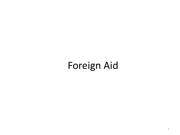# Foreign Aid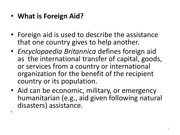• **What is Foreign Aid?** 

•

- Foreign aid is used to describe the assistance that one country gives to help another.
- *Encyclopaedia Britannica* defines foreign aid as the international transfer of capital, goods, or services from a country or international organization for the benefit of the recipient country or its population.
- Aid can be economic, military, or emergency humanitarian (e.g., aid given following natural disasters) assistance.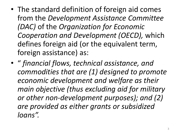- The standard definition of foreign aid comes from the *Development Assistance Committee (DAC)* of the *Organization for Economic Cooperation and Development (OECD),* which defines foreign aid (or the equivalent term, foreign assistance) as:
- " *financial flows, technical assistance, and commodities that are (1) designed to promote economic development and welfare as their main objective (thus excluding aid for military or other non-development purposes); and (2) are provided as either grants or subsidized loans".*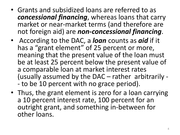- Grants and subsidized loans are referred to as *concessional financing*, whereas loans that carry market or near-market terms (and therefore are not foreign aid) are *non-concessional financing*.
- According to the DAC, a *loan* counts as *aid* if it has a "grant element" of 25 percent or more, meaning that the present value of the loan must be at least 25 percent below the present value of a comparable loan at market interest rates (usually assumed by the DAC – rather arbitrarily - - to be 10 percent with no grace period).
- Thus, the grant element is zero for a loan carrying a 10 percent interest rate, 100 percent for an outright grant, and something in-between for other loans.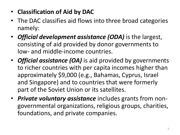- **Classification of Aid by DAC**
- The DAC classifies aid flows into three broad categories namely:
- *Official development assistance (ODA)* is the largest, consisting of aid provided by donor governments to low- and middle-income countries.
- *Official assistance (OA)* is aid provided by governments to richer countries with per capita incomes higher than approximately \$9,000 (e.g., Bahamas, Cyprus, Israel and Singapore) and to countries that were formerly part of the Soviet Union or its satellites.
- *Private voluntary assistance* includes grants from nongovernmental organizations, religious groups, charities, foundations, and private companies.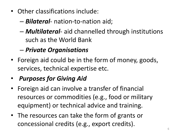- Other classifications include:
	- *Bilateral* nation-to-nation aid;
	- *Multilateral* aid channelled through institutions such as the World Bank

## – *Private Organisations*

- Foreign aid could be in the form of money, goods, services, technical expertise etc.
- *Purposes for Giving Aid*
- Foreign aid can involve a transfer of financial resources or commodities (e.g., food or military equipment) or technical advice and training.
- The resources can take the form of grants or concessional credits (e.g., export credits).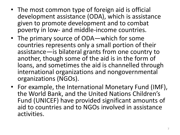- The most common type of foreign aid is official development assistance (ODA), which is assistance given to promote development and to combat poverty in low- and middle-income countries.
- The primary source of ODA—which for some countries represents only a small portion of their assistance—is bilateral grants from one country to another, though some of the aid is in the form of loans, and sometimes the aid is channelled through international organizations and nongovernmental organizations (NGOs).
- For example, the International Monetary Fund (IMF), the World Bank, and the United Nations Children's Fund (UNICEF) have provided significant amounts of aid to countries and to NGOs involved in assistance activities.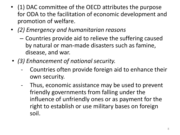- (1) DAC committee of the OECD attributes the purpose for ODA to the facilitation of economic development and promotion of welfare.
- *(2) Emergency and humanitarian reasons*
	- Countries provide aid to relieve the suffering caused by natural or man-made disasters such as famine, disease, and war.
- *(3) Enhancement of national security.*
	- Countries often provide foreign aid to enhance their own security.
	- Thus, economic assistance may be used to prevent friendly governments from falling under the influence of unfriendly ones or as payment for the right to establish or use military bases on foreign soil.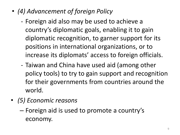- *(4) Advancement of foreign Policy*
	- Foreign aid also may be used to achieve a country's diplomatic goals, enabling it to gain diplomatic recognition, to garner support for its positions in international organizations, or to increase its diplomats' access to foreign officials.
	- Taiwan and China have used aid (among other policy tools) to try to gain support and recognition for their governments from countries around the world.
- *(5) Economic reasons*
	- Foreign aid is used to promote a country's economy.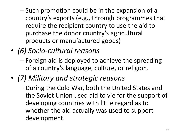- Such promotion could be in the expansion of a country's exports (e.g., through programmes that require the recipient country to use the aid to purchase the donor country's agricultural products or manufactured goods)
- *(6) Socio-cultural reasons*
	- Foreign aid is deployed to achieve the spreading of a country's language, culture, or religion.
- *(7) Military and strategic reasons*
	- During the Cold War, both the United States and the Soviet Union used aid to vie for the support of developing countries with little regard as to whether the aid actually was used to support development.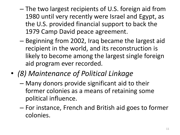- The two largest recipients of U.S. foreign aid from 1980 until very recently were Israel and Egypt, as the U.S. provided financial support to back the 1979 Camp David peace agreement.
- Beginning from 2002, Iraq became the largest aid recipient in the world, and its reconstruction is likely to become among the largest single foreign aid program ever recorded.
- *(8) Maintenance of Political Linkage*
	- Many donors provide significant aid to their former colonies as a means of retaining some political influence.
	- For instance, French and British aid goes to former colonies.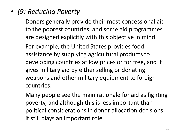- *(9) Reducing Poverty*
	- Donors generally provide their most concessional aid to the poorest countries, and some aid programmes are designed explicitly with this objective in mind.
	- For example, the United States provides food assistance by supplying agricultural products to developing countries at low prices or for free, and it gives military aid by either selling or donating weapons and other military equipment to foreign countries.
	- Many people see the main rationale for aid as fighting poverty, and although this is less important than political considerations in donor allocation decisions, it still plays an important role.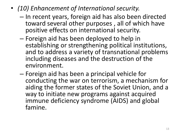- *(10) Enhancement of International security.*
	- In recent years, foreign aid has also been directed toward several other purposes , all of which have positive effects on international security.
	- Foreign aid has been deployed to help in establishing or strengthening political institutions, and to address a variety of transnational problems including diseases and the destruction of the environment.
	- Foreign aid has been a principal vehicle for conducting the war on terrorism, a mechanism for aiding the former states of the Soviet Union, and a way to initiate new programs against acquired immune deficiency syndrome (AIDS) and global famine.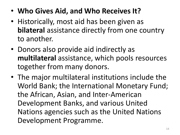- **Who Gives Aid, and Who Receives It?**
- Historically, most aid has been given as **bilateral** assistance directly from one country to another.
- Donors also provide aid indirectly as **multilateral** assistance, which pools resources together from many donors.
- The major multilateral institutions include the World Bank; the International Monetary Fund; the African, Asian, and Inter-American Development Banks, and various United Nations agencies such as the United Nations Development Programme.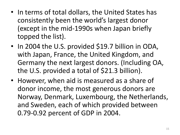- In terms of total dollars, the United States has consistently been the world's largest donor (except in the mid-1990s when Japan briefly topped the list).
- In 2004 the U.S. provided \$19.7 billion in ODA, with Japan, France, the United Kingdom, and Germany the next largest donors. (Including OA, the U.S. provided a total of \$21.3 billion).
- However, when aid is measured as a share of donor income, the most generous donors are Norway, Denmark, Luxembourg, the Netherlands, and Sweden, each of which provided between 0.79-0.92 percent of GDP in 2004.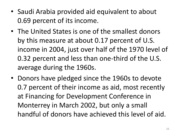- Saudi Arabia provided aid equivalent to about 0.69 percent of its income.
- The United States is one of the smallest donors by this measure at about 0.17 percent of U.S. income in 2004, just over half of the 1970 level of 0.32 percent and less than one-third of the U.S. average during the 1960s.
- Donors have pledged since the 1960s to devote 0.7 percent of their income as aid, most recently at Financing for Development Conference in Monterrey in March 2002, but only a small handful of donors have achieved this level of aid.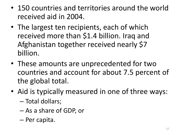- 150 countries and territories around the world received aid in 2004.
- The largest ten recipients, each of which received more than \$1.4 billion. Iraq and Afghanistan together received nearly \$7 billion.
- These amounts are unprecedented for two countries and account for about 7.5 percent of the global total.
- Aid is typically measured in one of three ways:
	- Total dollars;
	- As a share of GDP, or
	- Per capita.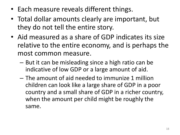- Each measure reveals different things.
- Total dollar amounts clearly are important, but they do not tell the entire story.
- Aid measured as a share of GDP indicates its size relative to the entire economy, and is perhaps the most common measure.
	- But it can be misleading since a high ratio can be indicative of low GDP or a large amount of aid.
	- The amount of aid needed to immunize 1 million children can look like a large share of GDP in a poor country and a small share of GDP in a richer country, when the amount per child might be roughly the same.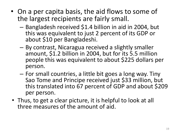- On a per capita basis, the aid flows to some of the largest recipients are fairly small.
	- Bangladesh received \$1.4 billion in aid in 2004, but this was equivalent to just 2 percent of its GDP or about \$10 per Bangladeshi.
	- By contrast, Nicaragua received a slightly smaller amount, \$1.2 billion in 2004, but for its 5.5 million people this was equivalent to about \$225 dollars per person.
	- For small countries, a little bit goes a long way. Tiny Sao Tome and Principe received just \$33 million, but this translated into 67 percent of GDP and about \$209 per person.
- Thus, to get a clear picture, it is helpful to look at all three measures of the amount of aid.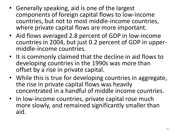- Generally speaking, aid is one of the largest components of foreign capital flows to low-income countries, but not to most middle-income countries, where private capital flows are more important.
- Aid flows averaged 2.8 percent of GDP in low-income countries in 2004, but just 0.2 percent of GDP in uppermiddle-income countries.
- It is commonly claimed that the decline in aid flows to developing countries in the 1990s was more than offset by a rise in private capital.
- While this is true for developing countries in aggregate, the rise in private capital flows was heavily concentrated in a handful of middle income countries.
- In low-income countries, private capital rose much more slowly, and remained significantly smaller than aid.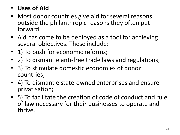## • **Uses of Aid**

- Most donor countries give aid for several reasons outside the philanthropic reasons they often put forward.
- Aid has come to be deployed as a tool for achieving several objectives. These include:
- 1) To push for economic reforms;
- 2) To dismantle anti-free trade laws and regulations;
- 3) To stimulate domestic economies of donor countries;
- 4) To dismantle state-owned enterprises and ensure privatisation;
- 5) To facilitate the creation of code of conduct and rule of law necessary for their businesses to operate and thrive.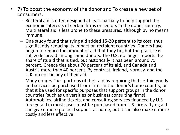- 7) To boost the economy of the donor and To create a new set of consumers.
	- Bilateral aid is often designed at least partially to help support the economic interests of certain firms or sectors in the donor country. Multilateral aid is less prone to these pressures, although by no means immune.
	- One study found that tying aid added 15-20 percent to its cost, thus significantly reducing its impact on recipient countries. Donors have begun to reduce the amount of aid that they tie, but the practice is still widespread among some donors. The U.S. no longer reports the share of its aid that is tied, but historically it has been around 75 percent. Greece ties about 70 percent of its aid, and Canada and Austria more than 40 percent. By contrast, Ireland, Norway, and the U.K. do not tie any of their aid.
	- Many donors "tie" portions of their aid by requiring that certain goods and services be purchased from firms in the donor's home country, or that it be used for specific purposes that support groups in the donor countries (such as universities or business consulting firms). Automobiles, airline tickets, and consulting services financed by U.S. foreign aid in most cases must be purchased from U.S. firms. Tying aid can give it more political support at home, but it can also make it more costly and less effective.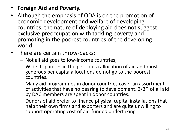- **Foreign Aid and Poverty.**
- Although the emphasis of ODA is on the promotion of economic development and welfare of developing countries, the nature of deploying aid does not suggest exclusive preoccupation with tackling poverty and promoting in the poorest countries of the developing world.
- There are certain throw-backs:
	- Not all aid goes to low-income countries;
	- Wide disparities in the per capita allocation of aid and most generous per capita allocations do not go to the poorest countries.
	- Many aid programmes in donor countries cover an assortment of activities that have no bearing to development. 2/3<sup>rd</sup> of all aid by DAC members are spent in donor countries.
	- Donors of aid prefer to finance physical capital installations that help their own firms and exporters and are quite unwilling to support operating cost of aid-funded undertaking.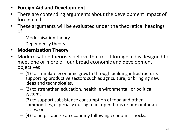#### • **Foreign Aid and Development**

- There are contending arguments about the development impact of foreign aid.
- These arguments will be evaluated under the theoretical headings of:
	- Modernisation theory
	- Dependency theory
- **Modernisation Theory**
- Modernisation theorists believe that most foreign aid is designed to meet one or more of four broad economic and development objectives:
	- (1) to stimulate economic growth through building infrastructure, supporting productive sectors such as agriculture, or bringing new ideas and technologies,
	- (2) to strengthen education, health, environmental, or political systems,
	- (3) to support subsistence consumption of food and other commodities, especially during relief operations or humanitarian crises, or
	- (4) to help stabilize an economy following economic shocks.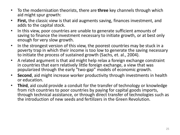- To the modernisation theorists, there are **three** key channels through which aid might spur growth:
- **First,** the classic view is that aid augments saving, finances investment, and adds to the capital stock.
- In this view, poor countries are unable to generate sufficient amounts of saving to finance the investment necessary to initiate growth, or at best only enough for very slow growth.
- In the strongest version of this view, the poorest countries may be stuck in a poverty trap in which their income is too low to generate the saving necessary to initiate the process of sustained growth (Sachs, et. al., 2004).
- A related argument is that aid might help relax a foreign exchange constraint in countries that earn relatively little foreign exchange, a view that was popularized through the early "two-gap" models of economic growth.
- **Second**, aid might increase worker productivity through investments in health or education.
- **Third**, aid could provide a conduit for the transfer of technology or knowledge from rich countries to poor countries by paying for capital goods imports, through technical assistance, or through direct transfer of technologies such as the introduction of new seeds and fertilizers in the Green Revolution.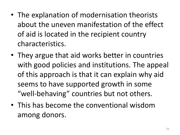- The explanation of modernisation theorists about the uneven manifestation of the effect of aid is located in the recipient country characteristics.
- They argue that aid works better in countries with good policies and institutions. The appeal of this approach is that it can explain why aid seems to have supported growth in some "well-behaving" countries but not others.
- This has become the conventional wisdom among donors.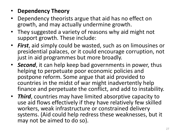### • **Dependency Theory**

- Dependency theorists argue that aid has no effect on growth, and may actually undermine growth.
- They suggested a variety of reasons why aid might not support growth. These include:
- *First*, aid simply could be wasted, such as on limousines or presidential palaces, or it could encourage corruption, not just in aid programmes but more broadly.
- *Second*, it can help keep bad governments in power, thus helping to perpetuate poor economic policies and postpone reform. Some argue that aid provided to countries in the midst of war might inadvertently help finance and perpetuate the conflict, and add to instability.
- *Third*, countries may have limited absorptive capacity to use aid flows effectively if they have relatively few skilled workers, weak infrastructure or constrained delivery systems. (Aid could help redress these weaknesses, but it may not be aimed to do so).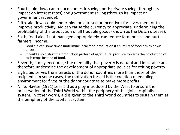- Fourth, aid flows can reduce domestic saving, both private saving (through its impact on interest rates) and government saving (through its impact on government revenue).
- Fifth, aid flows could undermine private sector incentives for investment or to improve productivity. Aid can cause the currency to appreciate, undermining the profitability of the production of all tradable goods (known as the Dutch disease).
- Sixth, food aid, if not managed appropriately, can reduce farm prices and hurt farmers' income.
	- Food aid can sometimes undermine local food production if an influx of food drives down prices
	- It could also distort the production pattern of agricultural produce towards the production of cash crops instead of food.
- Seventh, it may encourage the mentality that poverty is natural and inevitable and therefore undermine the development of appropriate policies for exiting poverty.
- Eight, aid serves the interests of the donor countries more than those of the recipients. In some cases, the motivation for aid is the creation of enabling environment for firms of the donor countries to make more profits.
- Nine, Hayter (1971) sees aid as a ploy introduced by the West to ensure the preservation of the Third World within the periphery of the global capitalist system. In other words, aid is given to the Third World countries to sustain them at the periphery of the capitalist system.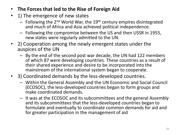- **The Forces that led to the Rise of Foreign Aid**
- 1) The emergence of new states
	- $-$  Following the 2<sup>nd</sup> World War, the 19<sup>th</sup> century empires disintegrated and much of Africa and Asia achieved political independence.
	- Following the compromise between the US and then USSR in 1955, new states were regularly admitted to the UN.
- 2) Cooperation among the newly emergent states under the auspices of the UN
	- By the end of the second post war decade, the UN had 122 members of which 87 were developing countries. These countries as a result of their shared experience and desire to be incorporated into the mainstream of the international system began to cooperate.
- 3) Coordinated demands by the less-developed countries.
	- Within the General Assembly and the UN Economic and Social Council (ECOSOC), the less-developed countries began to form groups and make coordinated demands.
	- It was at the ECOSOC and its subcommittees and the general Assembly and its subcommittees that the less-developed countries began to formulate and eventually to coordinate common demands for aid and for greater participation in the management of aid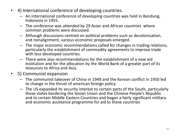- 4) International conference of developing countries.
	- An international conference of developing countries was held in Bandung, Indonesia in 1955.
	- The conference was attended by 29 Asian and African countries where common problems were discussed.
	- Although discussions centred on political problems such as decolonisation, and nonalignment, various economic proposals emerged.
	- The major economic recommendations called for changes in trading relations, particularly the establishment of commodity agreements to improve trade with less developed countries.
	- There were also recommendations for the establishment of a new aid institution and for the allocation by the World Bank of a greater part of its resources to Africa and Asia.
- 5) Communist expansion
	- The communist takeover of China in 1949 and the Korean conflict in 1950 led to change in the thrust of american foreign policy.
	- The US expanded its security interest to certain parts of the South, particularly those states bordering the Soviet Union and the Chinese People's Republic and to certain Middle Eastern Countries and began a fairly significant military and economic assistance programme for aid to these countries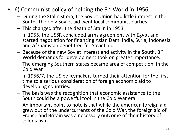- 6) Communist policy of helping the 3rd World in 1956.
	- During the Stalinist era, the Soviet Union had little interest in the South. The only Soviet aid went local communist parties.
	- This changed after the death of Stalin in 1953.
	- In 1955, the USSR concluded arms agreement with Egypt and started negotiation for financing Asian Dam. India, Syria, Indonesia and Afghanistan benefitted fro Soviet aid.
	- Because of the new Soviet interest and activity in the South, 3rd World demands for development took on greater importance.
	- The emerging Southern states became area of competition in the Cold War.
	- In 1956/7, the US policymakers turned their attention for the first time to a serious consideration of foreign economic aid to developing countries.
	- The basis was the recognition that economic assistance to the South could be a powerful tool in the Cold War era
	- An important point to note is that while the american foreign aid grew out of the undercurrents of the Cold War, the foreign aid of France and Britain was a necessary outcome of their history of colonialism.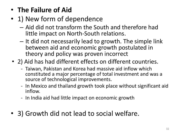## • **The Failure of Aid**

- 1) New form of dependence
	- Aid did not transform the South and therefore had little impact on North-South relations.
	- It did not necessarily lead to growth. The simple link between aid and economic growth postulated in theory and policy was proven incorrect
- 2) Aid has had different effects on different countries.
	- Taiwan, Pakistan and Korea had massive aid inflow which constituted a major percentage of total investment and was a source of technological improvements.
	- In Mexico and thailand growth took place without significant aid inflow.
	- In India aid had little impact on economic growth
- 3) Growth did not lead to social welfare.